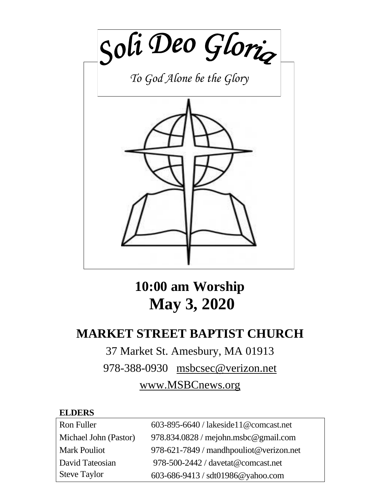

**10:00 am Worship May 3, 2020**

# **MARKET STREET BAPTIST CHURCH**

37 Market St. Amesbury, MA 01913

978-388-0930 [msbcsec@verizon.net](mailto:msgbcsec@verizon.net)

## [www.MSBCnews.org](http://www.msbcnews.org/)

## **ELDERS**

| Ron Fuller            | 603-895-6640 / lakeside11@comcast.net   |
|-----------------------|-----------------------------------------|
| Michael John (Pastor) | $978.834.0828$ / mejohn.msbc@gmail.com  |
| <b>Mark Pouliot</b>   | 978-621-7849 / mandhpouliot@verizon.net |
| David Tateosian       | 978-500-2442 / davetat@comcast.net      |
| <b>Steve Taylor</b>   | 603-686-9413 / sdt01986@yahoo.com       |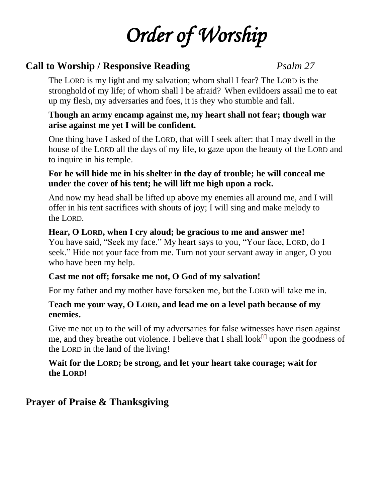*Order of Worship* 

## **Call to Worship / Responsive Reading** *Psalm 27*

The LORD is my light and my salvation; whom shall I fear? The LORD is the stronghold of my life; of whom shall I be afraid? When evildoers assail me to eat up my flesh, my adversaries and foes, it is they who stumble and fall.

## **Though an army encamp against me, my heart shall not fear; though war arise against me yet I will be confident.**

One thing have I asked of the LORD, that will I seek after: that I may dwell in the house of the LORD all the days of my life, to gaze upon the beauty of the LORD and to inquire in his temple.

## **For he will hide me in his shelter in the day of trouble; he will conceal me under the cover of his tent; he will lift me high upon a rock.**

And now my head shall be lifted up above my enemies all around me, and I will offer in his tent sacrifices with shouts of joy; I will sing and make melody to the LORD.

### **Hear, O LORD, when I cry aloud; be gracious to me and answer me!**

You have said, "Seek my face." My heart says to you, "Your face, LORD, do I seek." Hide not your face from me. Turn not your servant away in anger, O you who have been my help.

## **Cast me not off; forsake me not, O God of my salvation!**

For my father and my mother have forsaken me, but the LORD will take me in.

### **Teach me your way, O LORD, and lead me on a level path because of my enemies.**

Give me not up to the will of my adversaries for false witnesses have risen against me, and they breathe out violence. I believe that I shall look<sup>[\[f\]](https://www.biblegateway.com/passage/?search=psalm+27&version=ESV#fen-ESV-14299f)</sup> upon the goodness of the LORD in the land of the living!

### **Wait for the LORD; be strong, and let your heart take courage; wait for the LORD!**

## **Prayer of Praise & Thanksgiving**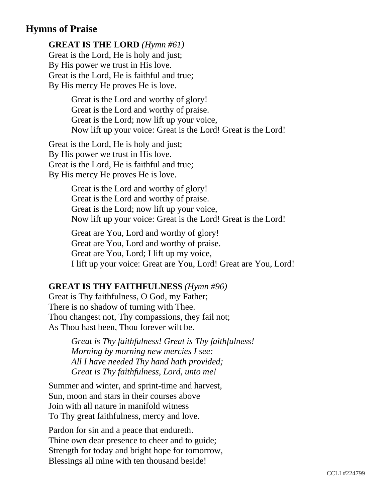## **Hymns of Praise**

**GREAT IS THE LORD** *(Hymn #61)* Great is the Lord, He is holy and just; By His power we trust in His love. Great is the Lord, He is faithful and true; By His mercy He proves He is love.

> Great is the Lord and worthy of glory! Great is the Lord and worthy of praise. Great is the Lord; now lift up your voice, Now lift up your voice: Great is the Lord! Great is the Lord!

Great is the Lord, He is holy and just; By His power we trust in His love. Great is the Lord, He is faithful and true; By His mercy He proves He is love.

> Great is the Lord and worthy of glory! Great is the Lord and worthy of praise. Great is the Lord; now lift up your voice, Now lift up your voice: Great is the Lord! Great is the Lord!

Great are You, Lord and worthy of glory! Great are You, Lord and worthy of praise. Great are You, Lord; I lift up my voice, I lift up your voice: Great are You, Lord! Great are You, Lord!

## **GREAT IS THY FAITHFULNESS** *(Hymn #96)*

Great is Thy faithfulness, O God, my Father; There is no shadow of turning with Thee. Thou changest not, Thy compassions, they fail not; As Thou hast been, Thou forever wilt be.

> *Great is Thy faithfulness! Great is Thy faithfulness! Morning by morning new mercies I see: All I have needed Thy hand hath provided; Great is Thy faithfulness, Lord, unto me!*

Summer and winter, and sprint-time and harvest, Sun, moon and stars in their courses above Join with all nature in manifold witness To Thy great faithfulness, mercy and love.

Pardon for sin and a peace that endureth. Thine own dear presence to cheer and to guide; Strength for today and bright hope for tomorrow, Blessings all mine with ten thousand beside!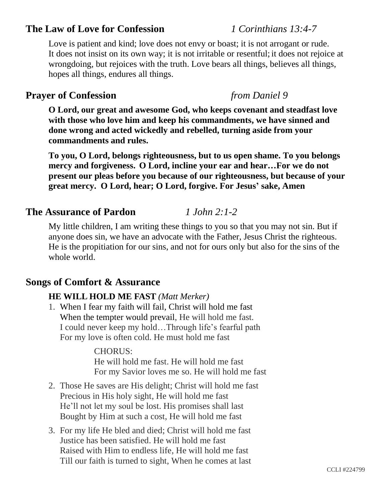## **The Law of Love for Confession** *1 Corinthians 13:4-7*

Love is patient and kind; love does not envy or boast; it is not arrogant or rude. It does not insist on its own way; it is not irritable or resentful; it does not rejoice at wrongdoing, but rejoices with the truth. Love bears all things, believes all things, hopes all things, endures all things.

## **Prayer of Confession** *from Daniel 9*

**O Lord, our great and awesome God, who keeps covenant and steadfast love with those who love him and keep his commandments, we have sinned and done wrong and acted wickedly and rebelled, turning aside from your commandments and rules.**

**To you, O Lord, belongs righteousness, but to us open shame. To you belongs mercy and forgiveness. O Lord, incline your ear and hear…For we do not present our pleas before you because of our righteousness, but because of your great mercy. O Lord, hear; O Lord, forgive. For Jesus' sake, Amen**

## **The Assurance of Pardon** *1 John 2:1-2*

My little children, I am writing these things to you so that you may not sin. But if anyone does sin, we have an advocate with the Father, Jesus Christ the righteous. He is the propitiation for our sins, and not for ours only but also for the sins of the whole world.

## **Songs of Comfort & Assurance**

## **HE WILL HOLD ME FAST** *(Matt Merker)*

1. When I fear my faith will fail, Christ will hold me fast When the tempter would prevail, He will hold me fast. I could never keep my hold…Through life's fearful path For my love is often cold. He must hold me fast

> CHORUS: He will hold me fast. He will hold me fast For my Savior loves me so. He will hold me fast

- 2. Those He saves are His delight; Christ will hold me fast Precious in His holy sight, He will hold me fast He'll not let my soul be lost. His promises shall last Bought by Him at such a cost, He will hold me fast
- 3. For my life He bled and died; Christ will hold me fast Justice has been satisfied. He will hold me fast Raised with Him to endless life, He will hold me fast Till our faith is turned to sight, When he comes at last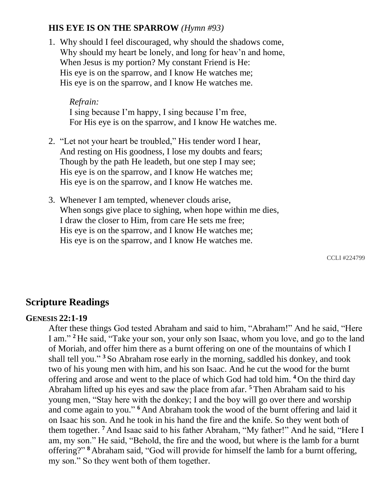### **HIS EYE IS ON THE SPARROW** *(Hymn #93)*

1. Why should I feel discouraged, why should the shadows come, Why should my heart be lonely, and long for heav'n and home, When Jesus is my portion? My constant Friend is He: His eye is on the sparrow, and I know He watches me; His eye is on the sparrow, and I know He watches me.

*Refrain:* I sing because I'm happy, I sing because I'm free, For His eye is on the sparrow, and I know He watches me.

- 2. "Let not your heart be troubled," His tender word I hear, And resting on His goodness, I lose my doubts and fears; Though by the path He leadeth, but one step I may see; His eye is on the sparrow, and I know He watches me; His eye is on the sparrow, and I know He watches me.
- 3. Whenever I am tempted, whenever clouds arise, When songs give place to sighing, when hope within me dies, I draw the closer to Him, from care He sets me free; His eye is on the sparrow, and I know He watches me; His eye is on the sparrow, and I know He watches me.

CCLI #224799

## **Scripture Readings**

### **GENESIS 22:1-19**

After these things God tested Abraham and said to him, "Abraham!" And he said, "Here I am."<sup>2</sup> He said, "Take your son, your only son Isaac, whom you love, and go to the land of Moriah, and offer him there as a burnt offering on one of the mountains of which I shall tell you." **<sup>3</sup>** So Abraham rose early in the morning, saddled his donkey, and took two of his young men with him, and his son Isaac. And he cut the wood for the burnt offering and arose and went to the place of which God had told him. **<sup>4</sup>** On the third day Abraham lifted up his eyes and saw the place from afar. **<sup>5</sup>** Then Abraham said to his young men, "Stay here with the donkey; I and the boy will go over there and worship and come again to you." <sup>6</sup> And Abraham took the wood of the burnt offering and laid it on Isaac his son. And he took in his hand the fire and the knife. So they went both of them together. **<sup>7</sup>** And Isaac said to his father Abraham, "My father!" And he said, "Here I am, my son." He said, "Behold, the fire and the wood, but where is the lamb for a burnt offering?" **<sup>8</sup>** Abraham said, "God will provide for himself the lamb for a burnt offering, my son." So they went both of them together.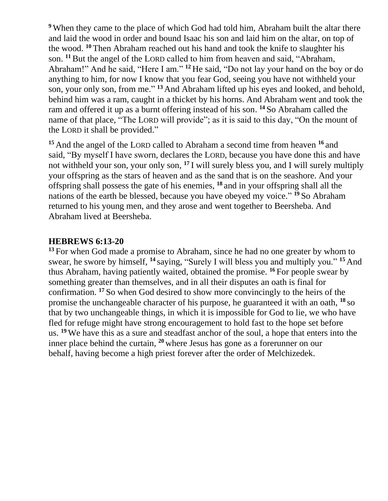**<sup>9</sup>** When they came to the place of which God had told him, Abraham built the altar there and laid the wood in order and bound Isaac his son and laid him on the altar, on top of the wood. **<sup>10</sup>** Then Abraham reached out his hand and took the knife to slaughter his son. **<sup>11</sup>**But the angel of the LORD called to him from heaven and said, "Abraham, Abraham!" And he said, "Here I am." **<sup>12</sup>** He said, "Do not lay your hand on the boy or do anything to him, for now I know that you fear God, seeing you have not withheld your son, your only son, from me." **<sup>13</sup>** And Abraham lifted up his eyes and looked, and behold, behind him was a ram, caught in a thicket by his horns. And Abraham went and took the ram and offered it up as a burnt offering instead of his son. **<sup>14</sup>** So Abraham called the name of that place, "The LORD will provide"; as it is said to this day, "On the mount of the LORD it shall be provided."

**<sup>15</sup>** And the angel of the LORD called to Abraham a second time from heaven **<sup>16</sup>** and said, "By myself I have sworn, declares the LORD, because you have done this and have not withheld your son, your only son, **<sup>17</sup>** I will surely bless you, and I will surely multiply your offspring as the stars of heaven and as the sand that is on the seashore. And your offspring shall possess the gate of his enemies, **<sup>18</sup>** and in your offspring shall all the nations of the earth be blessed, because you have obeyed my voice." **<sup>19</sup>** So Abraham returned to his young men, and they arose and went together to Beersheba. And Abraham lived at Beersheba.

### **HEBREWS 6:13-20**

**<sup>13</sup>** For when God made a promise to Abraham, since he had no one greater by whom to swear, he swore by himself, **<sup>14</sup>** saying, "Surely I will bless you and multiply you." **<sup>15</sup>** And thus Abraham, having patiently waited, obtained the promise. **<sup>16</sup>** For people swear by something greater than themselves, and in all their disputes an oath is final for confirmation. **<sup>17</sup>** So when God desired to show more convincingly to the heirs of the promise the unchangeable character of his purpose, he guaranteed it with an oath, **<sup>18</sup>** so that by two unchangeable things, in which it is impossible for God to lie, we who have fled for refuge might have strong encouragement to hold fast to the hope set before us. **<sup>19</sup>** We have this as a sure and steadfast anchor of the soul, a hope that enters into the inner place behind the curtain, **<sup>20</sup>** where Jesus has gone as a forerunner on our behalf, having become a high priest forever after the order of Melchizedek.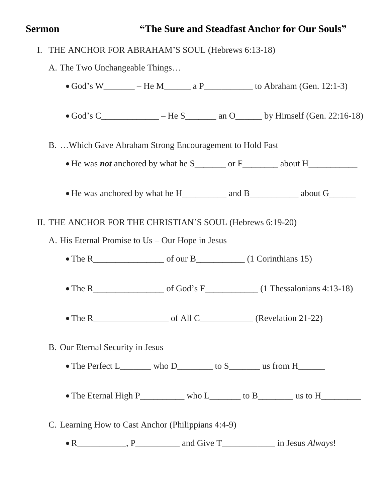- **Sermon "The Sure and Steadfast Anchor for Our Souls"** I. THE ANCHOR FOR ABRAHAM'S SOUL (Hebrews 6:13-18) A. The Two Unchangeable Things… • God's W  $-$  – He M  $a P$  to Abraham (Gen. 12:1-3) • God's C\_\_\_\_\_\_\_\_\_\_\_\_\_ – He S\_\_\_\_\_\_\_\_ an O\_\_\_\_\_\_ by Himself (Gen. 22:16-18) B. …Which Gave Abraham Strong Encouragement to Hold Fast • He was *not* anchored by what he S \_\_\_\_\_\_\_ or F \_\_\_\_\_\_\_ about H • He was anchored by what he H\_\_\_\_\_\_\_\_\_\_\_\_\_ and B\_\_\_\_\_\_\_\_\_\_\_\_\_\_ about G\_\_\_\_\_\_\_\_\_ II. THE ANCHOR FOR THE CHRISTIAN'S SOUL (Hebrews 6:19-20) A. His Eternal Promise to Us – Our Hope in Jesus • The R\_\_\_\_\_\_\_\_\_\_\_\_\_\_\_\_ of our B\_\_\_\_\_\_\_\_\_\_\_ (1 Corinthians 15) • The R  $\bullet$  of God's F  $(1$  Thessalonians 4:13-18) • The R of All C (Revelation 21-22) B. Our Eternal Security in Jesus • The Perfect L who D to S us from H • The Eternal High P who L to B us to H
	- C. Learning How to Cast Anchor (Philippians 4:4-9)

• R\_\_\_\_\_\_\_\_\_\_\_, P\_\_\_\_\_\_\_\_\_\_ and Give T\_\_\_\_\_\_\_\_\_\_\_\_ in Jesus *Always*!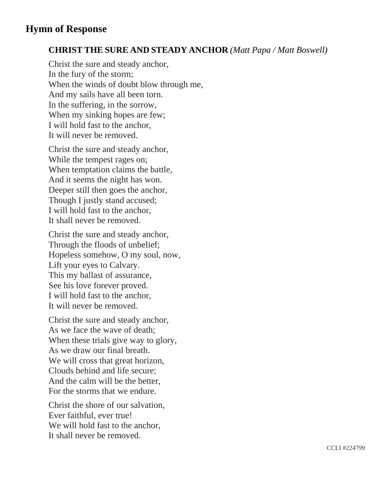## **Hymn of Response**

### **CHRIST THE SURE AND STEADY ANCHOR** *(Matt Papa / Matt Boswell)*

Christ the sure and steady anchor, In the fury of the storm; When the winds of doubt blow through me, And my sails have all been torn. In the suffering, in the sorrow, When my sinking hopes are few; I will hold fast to the anchor, It will never be removed.

Christ the sure and steady anchor, While the tempest rages on; When temptation claims the battle, And it seems the night has won. Deeper still then goes the anchor, Though I justly stand accused; I will hold fast to the anchor, It shall never be removed.

Christ the sure and steady anchor, Through the floods of unbelief; Hopeless somehow, O my soul, now, Lift your eyes to Calvary. This my ballast of assurance, See his love forever proved. I will hold fast to the anchor, It will never be removed.

Christ the sure and steady anchor, As we face the wave of death; When these trials give way to glory, As we draw our final breath. We will cross that great horizon, Clouds behind and life secure; And the calm will be the better, For the storms that we endure.

Christ the shore of our salvation, Ever faithful, ever true! We will hold fast to the anchor, It shall never be removed.